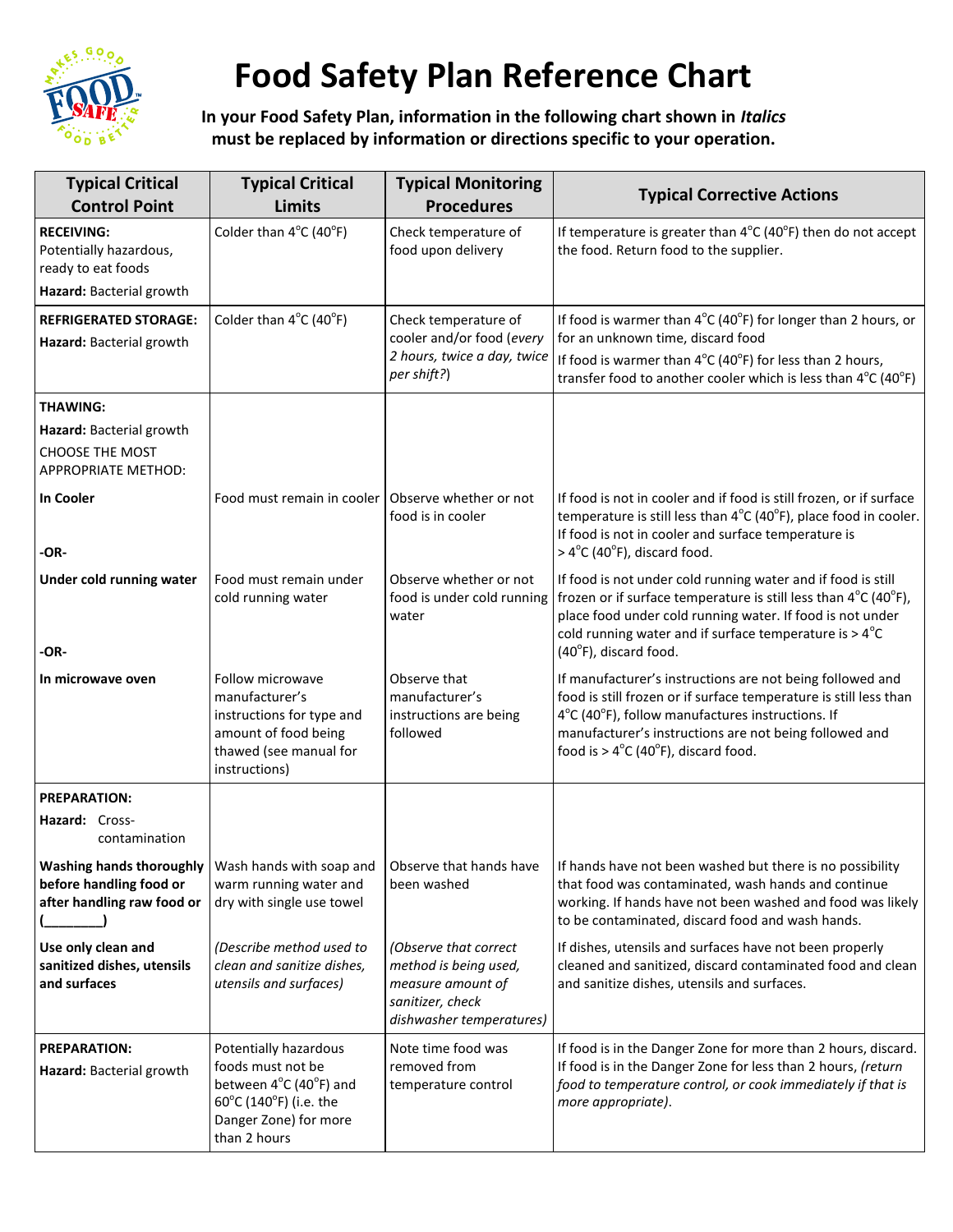

## **Food Safety Plan Reference Chart**

**In your Food Safety Plan, information in the following chart shown in** *Italics* **must be replaced by information or directions specific to your operation.**

| <b>Typical Critical</b><br><b>Control Point</b>                                               | <b>Typical Critical</b><br><b>Limits</b>                                                                                                                     | <b>Typical Monitoring</b><br><b>Procedures</b>                                                                      | <b>Typical Corrective Actions</b>                                                                                                                                                                                                                                                                                                          |
|-----------------------------------------------------------------------------------------------|--------------------------------------------------------------------------------------------------------------------------------------------------------------|---------------------------------------------------------------------------------------------------------------------|--------------------------------------------------------------------------------------------------------------------------------------------------------------------------------------------------------------------------------------------------------------------------------------------------------------------------------------------|
| <b>RECEIVING:</b><br>Potentially hazardous,<br>ready to eat foods<br>Hazard: Bacterial growth | Colder than 4°C (40°F)                                                                                                                                       | Check temperature of<br>food upon delivery                                                                          | If temperature is greater than $4^{\circ}$ C (40 $^{\circ}$ F) then do not accept<br>the food. Return food to the supplier.                                                                                                                                                                                                                |
| <b>REFRIGERATED STORAGE:</b><br>Hazard: Bacterial growth                                      | Colder than $4^{\circ}$ C (40 $^{\circ}$ F)                                                                                                                  | Check temperature of<br>cooler and/or food (every<br>2 hours, twice a day, twice<br>per shift?)                     | If food is warmer than $4^{\circ}$ C (40 $^{\circ}$ F) for longer than 2 hours, or<br>for an unknown time, discard food<br>If food is warmer than $4^{\circ}C(40^{\circ}F)$ for less than 2 hours,<br>transfer food to another cooler which is less than $4^{\circ}$ C (40 $^{\circ}$ F)                                                   |
| <b>THAWING:</b>                                                                               |                                                                                                                                                              |                                                                                                                     |                                                                                                                                                                                                                                                                                                                                            |
| Hazard: Bacterial growth<br><b>CHOOSE THE MOST</b><br><b>APPROPRIATE METHOD:</b>              |                                                                                                                                                              |                                                                                                                     |                                                                                                                                                                                                                                                                                                                                            |
| In Cooler<br>-OR-                                                                             | Food must remain in cooler   Observe whether or not                                                                                                          | food is in cooler                                                                                                   | If food is not in cooler and if food is still frozen, or if surface<br>temperature is still less than $4^{\circ}C(40^{\circ}F)$ , place food in cooler.<br>If food is not in cooler and surface temperature is<br>$>4^{\circ}$ C (40 $^{\circ}$ F), discard food.                                                                          |
| Under cold running water                                                                      | Food must remain under<br>cold running water                                                                                                                 | Observe whether or not<br>food is under cold running<br>water                                                       | If food is not under cold running water and if food is still<br>frozen or if surface temperature is still less than $4^{\circ}C$ (40 $^{\circ}F$ ),<br>place food under cold running water. If food is not under<br>cold running water and if surface temperature is $> 4^{\circ}$ C                                                       |
| -OR-<br>In microwave oven                                                                     | Follow microwave<br>manufacturer's<br>instructions for type and<br>amount of food being<br>thawed (see manual for<br>instructions)                           | Observe that<br>manufacturer's<br>instructions are being<br>followed                                                | $(40^{\circ}F)$ , discard food.<br>If manufacturer's instructions are not being followed and<br>food is still frozen or if surface temperature is still less than<br>4°C (40°F), follow manufactures instructions. If<br>manufacturer's instructions are not being followed and<br>food is $> 4^{\circ}C$ (40 $^{\circ}F$ ), discard food. |
| <b>PREPARATION:</b><br>Hazard: Cross-<br>contamination                                        |                                                                                                                                                              |                                                                                                                     |                                                                                                                                                                                                                                                                                                                                            |
| before handling food or<br>after handling raw food or                                         | warm running water and<br>dry with single use towel                                                                                                          | been washed                                                                                                         | Washing hands thoroughly   Wash hands with soap and   Observe that hands have   If hands have not been washed but there is no possibility<br>that food was contaminated, wash hands and continue<br>working. If hands have not been washed and food was likely<br>to be contaminated, discard food and wash hands.                         |
| Use only clean and<br>sanitized dishes, utensils<br>and surfaces                              | (Describe method used to<br>clean and sanitize dishes,<br>utensils and surfaces)                                                                             | (Observe that correct<br>method is being used,<br>measure amount of<br>sanitizer, check<br>dishwasher temperatures) | If dishes, utensils and surfaces have not been properly<br>cleaned and sanitized, discard contaminated food and clean<br>and sanitize dishes, utensils and surfaces.                                                                                                                                                                       |
| <b>PREPARATION:</b><br>Hazard: Bacterial growth                                               | Potentially hazardous<br>foods must not be<br>between 4°C (40°F) and<br>$60^{\circ}$ C (140 $^{\circ}$ F) (i.e. the<br>Danger Zone) for more<br>than 2 hours | Note time food was<br>removed from<br>temperature control                                                           | If food is in the Danger Zone for more than 2 hours, discard.<br>If food is in the Danger Zone for less than 2 hours, (return<br>food to temperature control, or cook immediately if that is<br>more appropriate).                                                                                                                         |